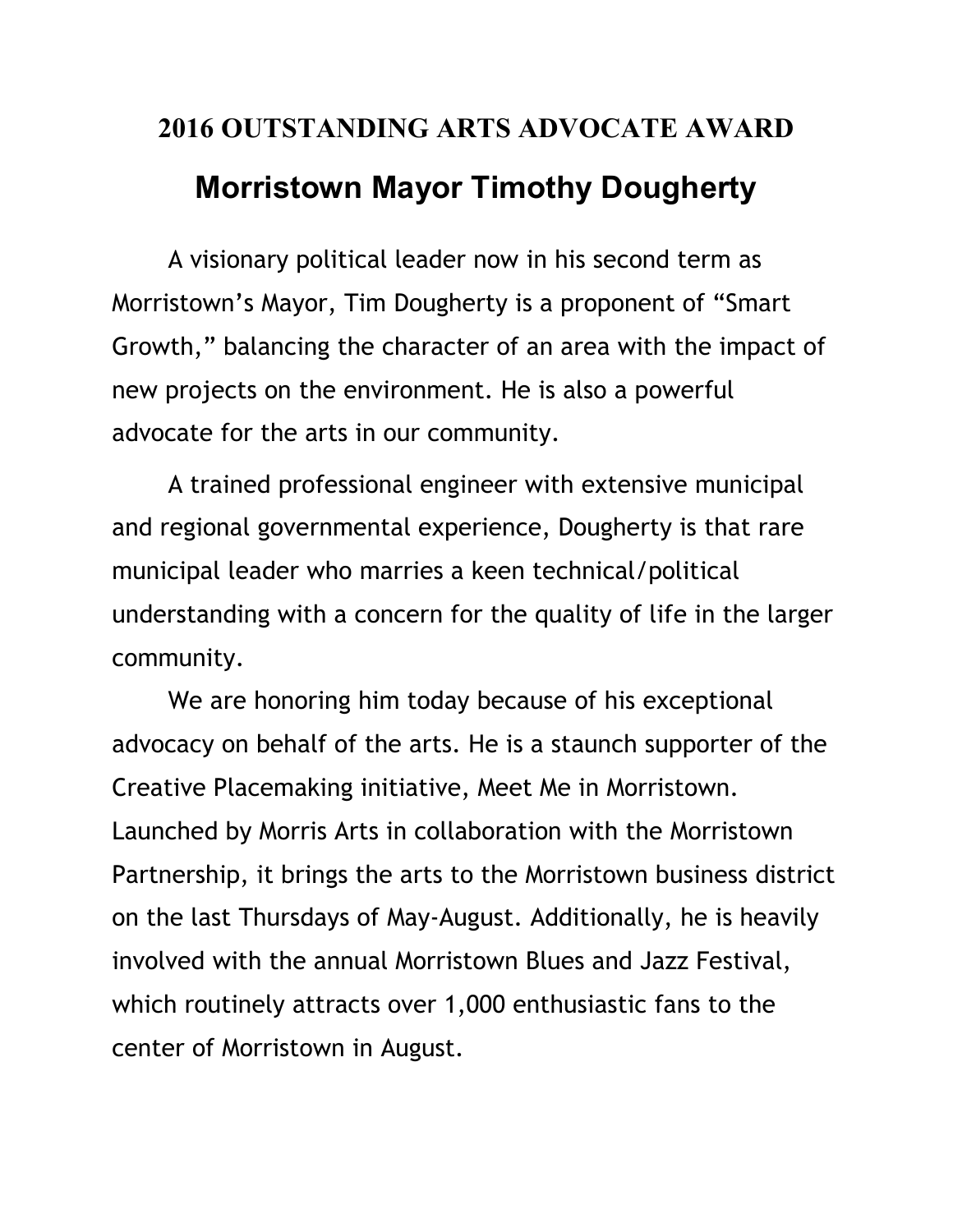## **2016 OUTSTANDING ARTS ADVOCATE AWARD Morristown Mayor Timothy Dougherty**

 A visionary political leader now in his second term as Morristown's Mayor, Tim Dougherty is a proponent of "Smart Growth," balancing the character of an area with the impact of new projects on the environment. He is also a powerful advocate for the arts in our community.

 A trained professional engineer with extensive municipal and regional governmental experience, Dougherty is that rare municipal leader who marries a keen technical/political understanding with a concern for the quality of life in the larger community.

 We are honoring him today because of his exceptional advocacy on behalf of the arts. He is a staunch supporter of the Creative Placemaking initiative, Meet Me in Morristown. Launched by Morris Arts in collaboration with the Morristown Partnership, it brings the arts to the Morristown business district on the last Thursdays of May-August. Additionally, he is heavily involved with the annual Morristown Blues and Jazz Festival, which routinely attracts over 1,000 enthusiastic fans to the center of Morristown in August.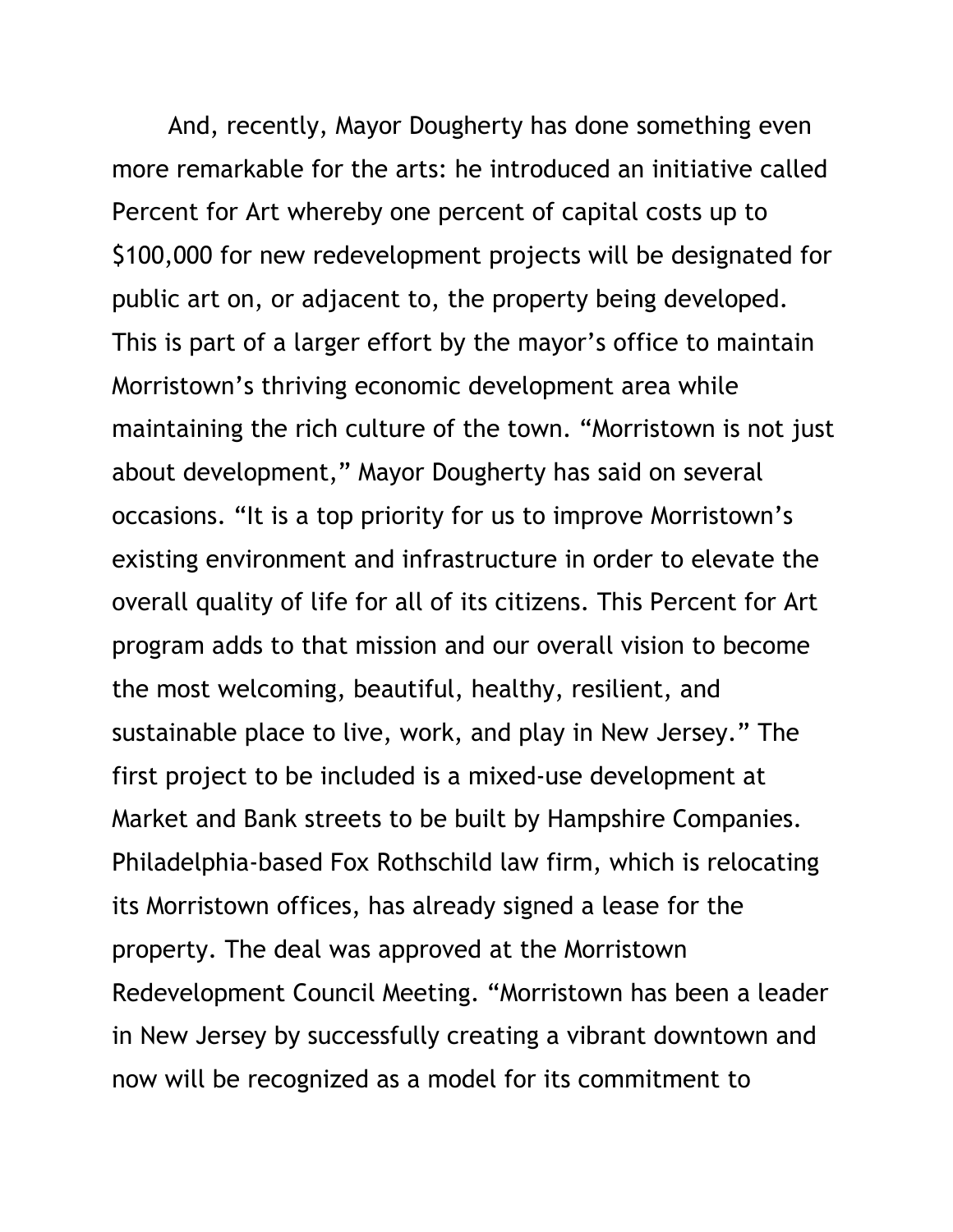And, recently, Mayor Dougherty has done something even more remarkable for the arts: he introduced an initiative called Percent for Art whereby one percent of capital costs up to \$100,000 for new redevelopment projects will be designated for public art on, or adjacent to, the property being developed. This is part of a larger effort by the mayor's office to maintain Morristown's thriving economic development area while maintaining the rich culture of the town. "Morristown is not just about development," Mayor Dougherty has said on several occasions. "It is a top priority for us to improve Morristown's existing environment and infrastructure in order to elevate the overall quality of life for all of its citizens. This Percent for Art program adds to that mission and our overall vision to become the most welcoming, beautiful, healthy, resilient, and sustainable place to live, work, and play in New Jersey." The first project to be included is a mixed-use development at Market and Bank streets to be built by Hampshire Companies. Philadelphia-based Fox Rothschild law firm, which is relocating its Morristown offices, has already signed a lease for the property. The deal was approved at the Morristown Redevelopment Council Meeting. "Morristown has been a leader in New Jersey by successfully creating a vibrant downtown and now will be recognized as a model for its commitment to